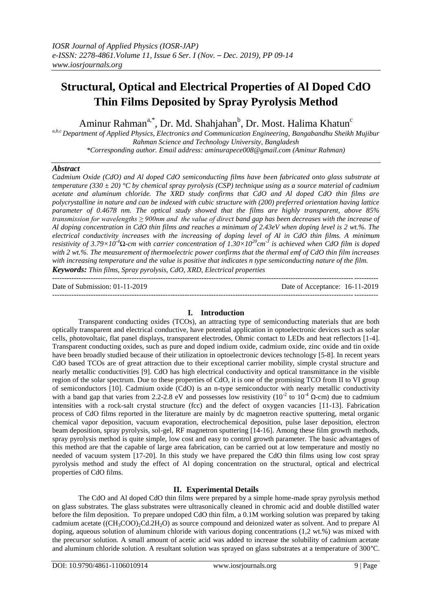# **Structural, Optical and Electrical Properties of Al Doped CdO Thin Films Deposited by Spray Pyrolysis Method**

Aminur Rahman<sup>a,\*</sup>, Dr. Md. Shahjahan<sup>b</sup>, Dr. Most. Halima Khatun<sup>c</sup>

*a,b,c Department of Applied Physics, Electronics and Communication Engineering, Bangabandhu Sheikh Mujibur Rahman Science and Technology University, Bangladesh \*Corresponding author. Email address: aminurapece008@gmail.com (Aminur Rahman)*

# *Abstract*

*Cadmium Oxide (CdO) and Al doped CdO semiconducting films have been fabricated onto glass substrate at temperature (330 ± 20) °C by chemical spray pyrolysis (CSP) technique using as a source material of cadmium acetate and aluminum chloride. The XRD study confirms that CdO and Al doped CdO thin films are polycrystalline in nature and can be indexed with cubic structure with (200) preferred orientation having lattice parameter of 0.4678 nm. The optical study showed that the films are highly transparent, above 85% transmission for wavelengths ≥ 900nm and the value of direct band gap has been decreases with the increase of Al doping concentration in CdO thin films and reaches a minimum of 2.43eV when doping level is 2 wt.%. The electrical conductivity increases with the increasing of doping level of Al in CdO thin films. A minimum resistivity of 3.79×10-4Ω-cm with carrier concentration of 1.30×10<sup>20</sup> cm -3 is achieved when CdO film is doped with 2 wt.%. The measurement of thermoelectric power confirms that the thermal emf of CdO thin film increases with increasing temperature and the value is positive that indicates n type semiconducting nature of the film. Keywords: Thin films, Spray pyrolysis, CdO, XRD, Electrical properties*

---------------------------------------------------------------------------------------------------------------------------------------

Date of Submission: 01-11-2019 Date of Acceptance: 16-11-2019 ---------------------------------------------------------------------------------------------------------------------------------------

# **I. Introduction**

Transparent conducting oxides (TCOs), an attracting type of semiconducting materials that are both optically transparent and electrical conductive, have potential application in optoelectronic devices such as solar cells, photovoltaic, flat panel displays, transparent electrodes, Ohmic contact to LEDs and heat reflectors [1-4]. Transparent conducting oxides, such as pure and doped indium oxide, cadmium oxide, zinc oxide and tin oxide have been broadly studied because of their utilization in optoelectronic devices technology [5-8]. In recent years CdO based TCOs are of great attraction due to their exceptional carrier mobility, simple crystal structure and nearly metallic conductivities [9]. CdO has high electrical conductivity and optical transmittance in the visible region of the solar spectrum. Due to these properties of CdO, it is one of the promising TCO from II to VI group of semiconductors [10]. Cadmium oxide (CdO) is an n-type semiconductor with nearly metallic conductivity with a band gap that varies from 2.2-2.8 eV and possesses low resistivity ( $10^{-2}$  to  $10^{-4}$  Q-cm) due to cadmium intensities with a rock-salt crystal structure (fcc) and the defect of oxygen vacancies [11-13]. Fabrication process of CdO films reported in the literature are mainly by dc magnetron reactive sputtering, metal organic chemical vapor deposition, vacuum evaporation, electrochemical deposition, pulse laser deposition, electron beam deposition, spray pyrolysis, sol-gel, RF magnetron sputtering [14-16]. Among these film growth methods, spray pyrolysis method is quite simple, low cost and easy to control growth parameter. The basic advantages of this method are that the capable of large area fabrication, can be carried out at low temperature and mostly no needed of vacuum system [17-20]. In this study we have prepared the CdO thin films using low cost spray pyrolysis method and study the effect of Al doping concentration on the structural, optical and electrical properties of CdO films.

# **II. Experimental Details**

The CdO and Al doped CdO thin films were prepared by a simple home-made spray pyrolysis method on glass substrates. The glass substrates were ultrasonically cleaned in chromic acid and double distilled water before the film deposition. To prepare undoped CdO thin film, a 0.1M working solution was prepared by taking cadmium acetate ((CH<sub>3</sub>COO)<sub>2</sub>Cd.2H<sub>2</sub>O) as source compound and deionized water as solvent. And to prepare Al doping, aqueous solution of aluminum chloride with various doping concentrations (1,2 wt.%) was mixed with the precursor solution. A small amount of acetic acid was added to increase the solubility of cadmium acetate and aluminum chloride solution. A resultant solution was sprayed on glass substrates at a temperature of 300°C.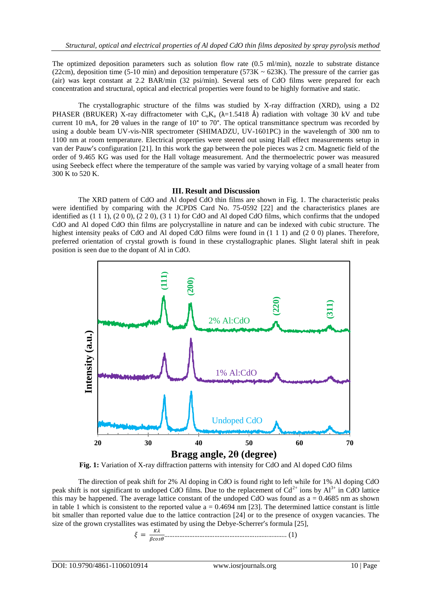The optimized deposition parameters such as solution flow rate (0.5 ml/min), nozzle to substrate distance (22cm), deposition time (5-10 min) and deposition temperature (573K  $\sim$  623K). The pressure of the carrier gas (air) was kept constant at 2.2 BAR/min (32 psi/min). Several sets of CdO films were prepared for each concentration and structural, optical and electrical properties were found to be highly formative and static.

The crystallographic structure of the films was studied by X-ray diffraction (XRD), using a D2 PHASER (BRUKER) X-ray diffractometer with  $C_nK_a$  ( $\lambda$ =1.5418 Å) radiation with voltage 30 kV and tube current 10 mA, for 2θ values in the range of 10° to 70°. The optical transmittance spectrum was recorded by using a double beam UV-vis-NIR spectrometer (SHIMADZU, UV-1601PC) in the wavelength of 300 nm to 1100 nm at room temperature. Electrical properties were steered out using Hall effect measurements setup in van der Pauw's configuration [21]. In this work the gap between the pole pieces was 2 cm. Magnetic field of the order of 9.465 KG was used for the Hall voltage measurement. And the thermoelectric power was measured using Seebeck effect where the temperature of the sample was varied by varying voltage of a small heater from 300 K to 520 K.

## **III. Result and Discussion**

The XRD pattern of CdO and Al doped CdO thin films are shown in Fig. 1. The characteristic peaks were identified by comparing with the JCPDS Card No. 75-0592 [22] and the characteristics planes are identified as  $(1\ 1\ 1)$ ,  $(2\ 0\ 0)$ ,  $(2\ 2\ 0)$ ,  $(3\ 1\ 1)$  for CdO and Al doped CdO films, which confirms that the undoped CdO and Al doped CdO thin films are polycrystalline in nature and can be indexed with cubic structure. The highest intensity peaks of CdO and Al doped CdO films were found in  $(1\ 1\ 1)$  and  $(2\ 0\ 0)$  planes. Therefore, preferred orientation of crystal growth is found in these crystallographic planes. Slight lateral shift in peak position is seen due to the dopant of Al in CdO.



**Fig. 1:** Variation of X-ray diffraction patterns with intensity for CdO and Al doped CdO films

The direction of peak shift for 2% Al doping in CdO is found right to left while for 1% Al doping CdO peak shift is not significant to undoped CdO films. Due to the replacement of  $Cd^{2+}$  ions by  $Al^{3+}$  in CdO lattice this may be happened. The average lattice constant of the undoped CdO was found as  $a = 0.4685$  nm as shown in table 1 which is consistent to the reported value  $a = 0.4694$  nm [23]. The determined lattice constant is little bit smaller than reported value due to the lattice contraction [24] or to the presence of oxygen vacancies. The size of the grown crystallites was estimated by using the Debye-Scherrer's formula [25],

 ………………………………………………..…………….. (1)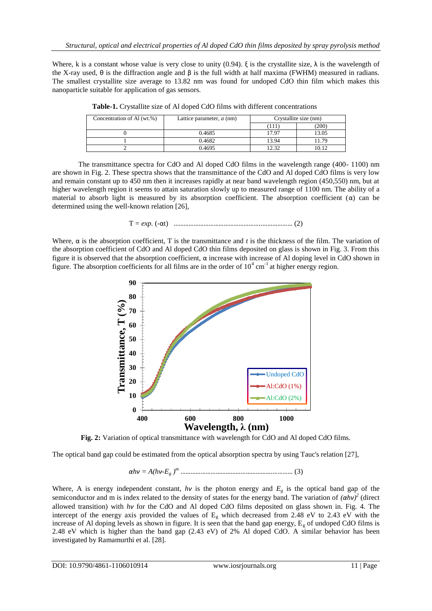Where, k is a constant whose value is very close to unity (0.94).  $\xi$  is the crystallite size,  $\lambda$  is the wavelength of the X-ray used, θ is the diffraction angle and β is the full width at half maxima (FWHM) measured in radians. The smallest crystallite size average to 13.82 nm was found for undoped CdO thin film which makes this nanoparticle suitable for application of gas sensors.

| Concentration of Al (wt.%) | Lattice parameter, $a$ (nm) |       | Crystallite size (nm) |  |
|----------------------------|-----------------------------|-------|-----------------------|--|
|                            |                             | 111   | (200)                 |  |
|                            | 0.4685                      | 17.97 | 13.05                 |  |
|                            | 0.4682                      | 13.94 | i 1.79                |  |
|                            | 0.4695                      | 12.32 | 10 12                 |  |

|  |  |  | <b>Table-1.</b> Crystallite size of Al doped CdO films with different concentrations |
|--|--|--|--------------------------------------------------------------------------------------|
|  |  |  |                                                                                      |

The transmittance spectra for CdO and Al doped CdO films in the wavelength range (400- 1100) nm are shown in Fig. 2. These spectra shows that the transmittance of the CdO and Al doped CdO films is very low and remain constant up to 450 nm then it increases rapidly at near band wavelength region (450,550) nm, but at higher wavelength region it seems to attain saturation slowly up to measured range of 1100 nm. The ability of a material to absorb light is measured by its absorption coefficient. The absorption coefficient  $(\alpha)$  can be determined using the well-known relation [26],

$$
T = exp. (-\alpha t)
$$
 *........* (2)

Where,  $\alpha$  is the absorption coefficient, T is the transmittance and t is the thickness of the film. The variation of the absorption coefficient of CdO and Al doped CdO thin films deposited on glass is shown in Fig. 3. From this figure it is observed that the absorption coefficient, α increase with increase of Al doping level in CdO shown in figure. The absorption coefficients for all films are in the order of  $10^4$  cm<sup>-1</sup> at higher energy region.



**Fig. 2:** Variation of optical transmittance with wavelength for CdO and Al doped CdO films.

The optical band gap could be estimated from the optical absorption spectra by using Tauc's relation [27],

*αhν = A(hν-E<sup>g</sup> ) <sup>m</sup>* ……………………………………………….………… (3)

Where, A is energy independent constant,  $h\nu$  is the photon energy and  $E<sub>g</sub>$  is the optical band gap of the semiconductor and m is index related to the density of states for the energy band. The variation of  $(αhν)^2$  (direct allowed transition) with *hν* for the CdO and Al doped CdO films deposited on glass shown in. Fig. 4. The intercept of the energy axis provided the values of  $E<sub>g</sub>$  which decreased from 2.48 eV to 2.43 eV with the increase of Al doping levels as shown in figure. It is seen that the band gap energy,  $E<sub>g</sub>$  of undoped CdO films is 2.48 eV which is higher than the band gap (2.43 eV) of 2% Al doped CdO. A similar behavior has been investigated by Ramamurthi et al. [28].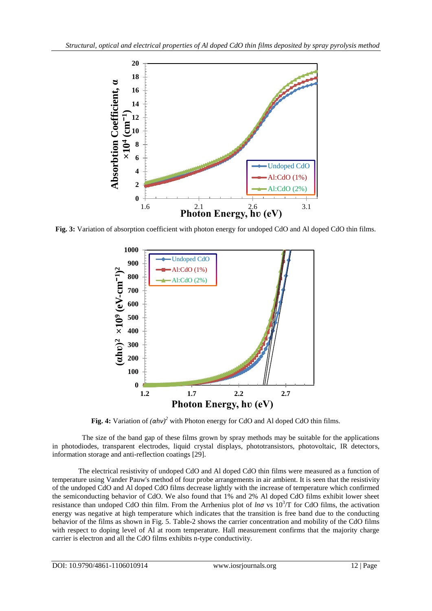

**Fig. 3:** Variation of absorption coefficient with photon energy for undoped CdO and Al doped CdO thin films.



**Fig. 4:** Variation of *(αhν) <sup>2</sup>* with Photon energy for CdO and Al doped CdO thin films.

 The size of the band gap of these films grown by spray methods may be suitable for the applications in photodiodes, transparent electrodes, liquid crystal displays, phototransistors, photovoltaic, IR detectors, information storage and anti-reflection coatings [29].

The electrical resistivity of undoped CdO and Al doped CdO thin films were measured as a function of temperature using Vander Pauw's method of four probe arrangements in air ambient. It is seen that the resistivity of the undoped CdO and Al doped CdO films decrease lightly with the increase of temperature which confirmed the semiconducting behavior of CdO. We also found that 1% and 2% Al doped CdO films exhibit lower sheet resistance than undoped CdO thin film. From the Arrhenius plot of  $ln\sigma$  vs  $10^3$ T for CdO films, the activation energy was negative at high temperature which indicates that the transition is free band due to the conducting behavior of the films as shown in Fig. 5. Table-2 shows the carrier concentration and mobility of the CdO films with respect to doping level of Al at room temperature. Hall measurement confirms that the majority charge carrier is electron and all the CdO films exhibits n-type conductivity.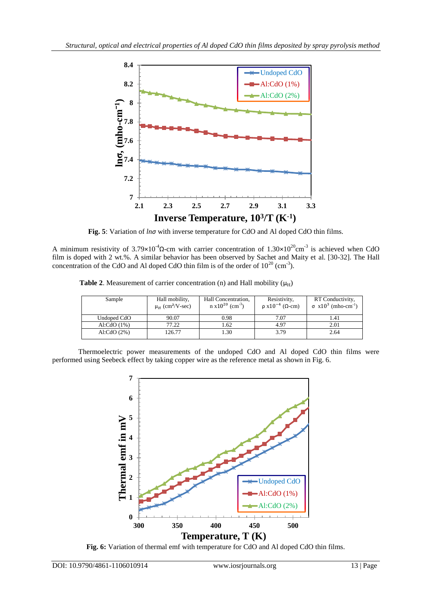

**Fig. 5**: Variation of *lnσ* with inverse temperature for CdO and Al doped CdO thin films.

A minimum resistivity of  $3.79 \times 10^{-4} \Omega$ -cm with carrier concentration of  $1.30 \times 10^{20}$ cm<sup>-3</sup> is achieved when CdO film is doped with 2 wt.%. A similar behavior has been observed by Sachet and Maity et al. [30-32]. The Hall concentration of the CdO and Al doped CdO thin film is of the order of  $10^{20}$  (cm<sup>-3</sup>).

**Table 2.** Measurement of carrier concentration (n) and Hall mobility  $(\mu_H)$ 

| Sample        | Hall mobility,<br>$\mu$ <sub>H</sub> (cm <sup>2</sup> /V-sec) | Hall Concentration,<br>$n \times 10^{20}$ (cm <sup>-3</sup> ) | Resistivity,<br>$\rho$ x10 <sup>-4</sup> ( $\Omega$ -cm) | RT Conductivity,<br>$\sigma$ x10 <sup>3</sup> (mho-cm <sup>-1</sup> ) |
|---------------|---------------------------------------------------------------|---------------------------------------------------------------|----------------------------------------------------------|-----------------------------------------------------------------------|
| Undoped CdO   | 90.07                                                         | 0.98                                                          | 7.07                                                     | 1.41                                                                  |
| Al:CdO $(1%)$ | 77.22                                                         | 1.62                                                          | 4.97                                                     | 2.01                                                                  |
| Al:CdO $(2%)$ | 126.77                                                        | 1.30                                                          | 3.79                                                     | 2.64                                                                  |

Thermoelectric power measurements of the undoped CdO and Al doped CdO thin films were performed using Seebeck effect by taking copper wire as the reference metal as shown in Fig. 6.



**Fig. 6:** Variation of thermal emf with temperature for CdO and Al doped CdO thin films.